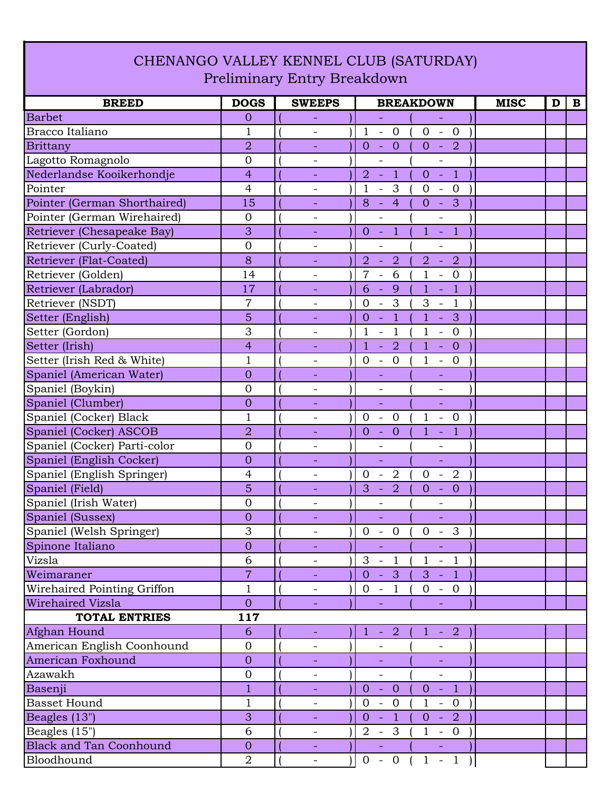## CHENANGO VALLEY KENNEL CLUB (SATURDAY) Preliminary Entry Breakdown

| <b>BREED</b>                   | <b>DOGS</b>    | <b>SWEEPS</b>            | <b>BREAKDOWN</b>                                                                                                    | <b>MISC</b><br>$\mathbf{B}$<br>D |
|--------------------------------|----------------|--------------------------|---------------------------------------------------------------------------------------------------------------------|----------------------------------|
| <b>Barbet</b>                  | $\overline{0}$ |                          | $\equiv$<br>$\equiv$                                                                                                |                                  |
| Bracco Italiano                | $\mathbf{1}$   |                          | $\mathbf{1}$<br>$0 - 0$<br>$\mathbb{L}$<br>$\overline{0}$                                                           |                                  |
| <b>Brittany</b>                | $\overline{2}$ | $\overline{\phantom{a}}$ | $\overline{0}$<br>$-2$<br>$\overline{0}$<br>$\overline{O}$<br>$\bar{\mathcal{A}}$                                   |                                  |
| Lagotto Romagnolo              | $\overline{0}$ | $\overline{\phantom{0}}$ | $\overline{\phantom{0}}$<br>$\overline{\phantom{0}}$                                                                |                                  |
| Nederlandse Kooikerhondje      | $\overline{4}$ | $\equiv$                 | $\overline{1}$<br>$\overline{1}$<br>$\overline{2}$<br>$\sim$<br>$0 -$                                               |                                  |
| Pointer                        | $\overline{4}$ | $\overline{\phantom{a}}$ | 3<br>1<br>$\mathbf{0}$<br>$\overline{0}$<br>$\overline{\phantom{a}}$<br>$\overline{\phantom{a}}$                    |                                  |
| Pointer (German Shorthaired)   | 15             |                          | $\overline{3}$<br>$\overline{4}$<br>$\overline{0}$<br>8<br>$\sim$<br>$\sim$                                         |                                  |
| Pointer (German Wirehaired)    | $\overline{0}$ | $\qquad \qquad -$        | $\qquad \qquad -$<br>$\overline{\phantom{0}}$                                                                       |                                  |
| Retriever (Chesapeake Bay)     | 3              | ÷,                       | $\overline{1}$<br>$\mathbf{1}$<br>$\overline{1}$<br>$\overline{0}$<br>Q<br>$\sim$                                   |                                  |
| Retriever (Curly-Coated)       | $\overline{0}$ | $\overline{\phantom{a}}$ |                                                                                                                     |                                  |
| <b>Retriever (Flat-Coated)</b> | 8              | $\overline{\phantom{a}}$ | $\overline{2}$<br>$\overline{2}$<br>$\overline{2}$<br>$\overline{2}$<br>$\Box$<br>$\overline{\phantom{a}}$          |                                  |
| Retriever (Golden)             | 14             | $\overline{\phantom{0}}$ | 6<br>7<br>$\mathbf{1}$<br>$\overline{0}$<br>$\blacksquare$<br>$\overline{\phantom{a}}$                              |                                  |
| Retriever (Labrador)           | 17             |                          | 6<br>9<br>$\overline{1}$<br>$\mathbf{1}$<br>÷,<br>$\equiv$                                                          |                                  |
| Retriever (NSDT)               | 7              | $\overline{\phantom{a}}$ | 3<br>$\overline{0}$<br>3<br>$\mathbf{1}$<br>$\overline{\phantom{a}}$<br>$\overline{\phantom{a}}$                    |                                  |
| Setter (English)               | 5              |                          | $\overline{1}$<br>$\overline{1}$<br>3<br>0<br>L,<br>÷,                                                              |                                  |
| Setter (Gordon)                | 3              | $\overline{\phantom{0}}$ | $\mathbf 1$<br>$\mathbf{1}$<br>1<br>$\overline{0}$<br>$\qquad \qquad -$<br>$\qquad \qquad -$                        |                                  |
| Setter (Irish)                 | $\overline{4}$ |                          | $\overline{2}$<br>$\mathbf{1}$<br>$\mathbf{1}$<br>$\overline{0}$<br>$\Box$<br>÷,                                    |                                  |
| Setter (Irish Red & White)     | $\mathbf{1}$   | $\overline{\phantom{a}}$ | $\mathbf{0}$<br>$\overline{0}$<br>$\mathbf{1}$<br>$- 0$<br>$\overline{\phantom{a}}$                                 |                                  |
| Spaniel (American Water)       | $\overline{0}$ | $\equiv$                 | $\overline{\phantom{a}}$<br>$\overline{\phantom{0}}$                                                                |                                  |
| Spaniel (Boykin)               | $\overline{0}$ |                          |                                                                                                                     |                                  |
| Spaniel (Clumber)              | $\mathbf{0}$   |                          | $\equiv$<br>L,                                                                                                      |                                  |
| Spaniel (Cocker) Black         | $\mathbf{1}$   | $\overline{\phantom{a}}$ | $\mathbf{0}$<br>$\overline{0}$<br>1<br>$\overline{0}$<br>$\blacksquare$<br>$\overline{\phantom{a}}$                 |                                  |
| Spaniel (Cocker) ASCOB         | $\overline{2}$ |                          | $\overline{1}$<br>$\overline{0}$<br>$\mathbf{1}$<br>$\overline{O}$<br>$\equiv$<br>$\Box$                            |                                  |
| Spaniel (Cocker) Parti-color   | $\overline{0}$ | $\qquad \qquad -$        | $\overline{\phantom{0}}$<br>$\overline{\phantom{0}}$                                                                |                                  |
| Spaniel (English Cocker)       | $\overline{0}$ |                          | $\equiv$<br>$\equiv$                                                                                                |                                  |
| Spaniel (English Springer)     | $\overline{4}$ | $\overline{\phantom{a}}$ | $\overline{0}$<br>$\overline{2}$<br>$\overline{0}$<br>2<br>$\sim$<br>$\sim$                                         |                                  |
| Spaniel (Field)                | 5              | $\blacksquare$           | 3<br>$\overline{2}$<br>$\mathbf{O}$<br>$\mathbf{0}$<br>$\equiv$<br>$\equiv$                                         |                                  |
| Spaniel (Irish Water)          | $\overline{0}$ |                          |                                                                                                                     |                                  |
| Spaniel (Sussex)               | $\overline{0}$ |                          |                                                                                                                     |                                  |
| Spaniel (Welsh Springer)       | 3              | $\overline{\phantom{a}}$ | $\overline{0}$<br>$\overline{0}$<br>$\overline{0}$<br>$\overline{\mathbf{3}}$<br>$\overline{\phantom{a}}$<br>$\sim$ |                                  |
| Spinone Italiano               | $\theta$       |                          | $\equiv$                                                                                                            |                                  |
| Vizsla                         | 6              |                          | $3 - 1$<br>$1 - 1$                                                                                                  |                                  |
| Weimaraner                     | $\overline{7}$ |                          | $0 - 3$<br>$3 - 1$                                                                                                  |                                  |
| Wirehaired Pointing Griffon    | 1              |                          | $0 - 1$<br>$0 - 0$                                                                                                  |                                  |
| Wirehaired Vizsla              | $\overline{0}$ |                          | $\equiv$<br>÷,                                                                                                      |                                  |
| <b>TOTAL ENTRIES</b>           | 117            |                          |                                                                                                                     |                                  |
| Afghan Hound                   | 6              |                          | $-2$<br>$-2$<br>$\mathbf{1}$<br>$\mathbf{1}$                                                                        |                                  |
| American English Coonhound     | $\overline{0}$ |                          |                                                                                                                     |                                  |
| American Foxhound              | $\overline{0}$ |                          |                                                                                                                     |                                  |
| Azawakh                        | $\mathbf 0$    | -                        | $\overline{\phantom{a}}$<br>$\overline{\phantom{a}}$                                                                |                                  |
| Basenji                        | $\overline{1}$ |                          | $0 - 1$<br>$\sim$ $\pm$<br>$\overline{0}$<br>$\overline{0}$                                                         |                                  |
| <b>Basset Hound</b>            | $\mathbf{1}$   |                          | $0 - 0$<br>$1 - 0$                                                                                                  |                                  |
| Beagles (13")                  | 3              | $\equiv$                 | $0 - 1$<br>$0 - 2$                                                                                                  |                                  |
| Beagles (15")                  | 6              |                          | $1 - 0$<br>$2 - 3$                                                                                                  |                                  |
| <b>Black and Tan Coonhound</b> | $\overline{0}$ | ÷                        | $\omega_{\rm{max}}$<br>$\omega_{\rm{max}}$                                                                          |                                  |
| Bloodhound                     | $\overline{2}$ | $\overline{\phantom{a}}$ | $0 - 0 (1 - 1)$                                                                                                     |                                  |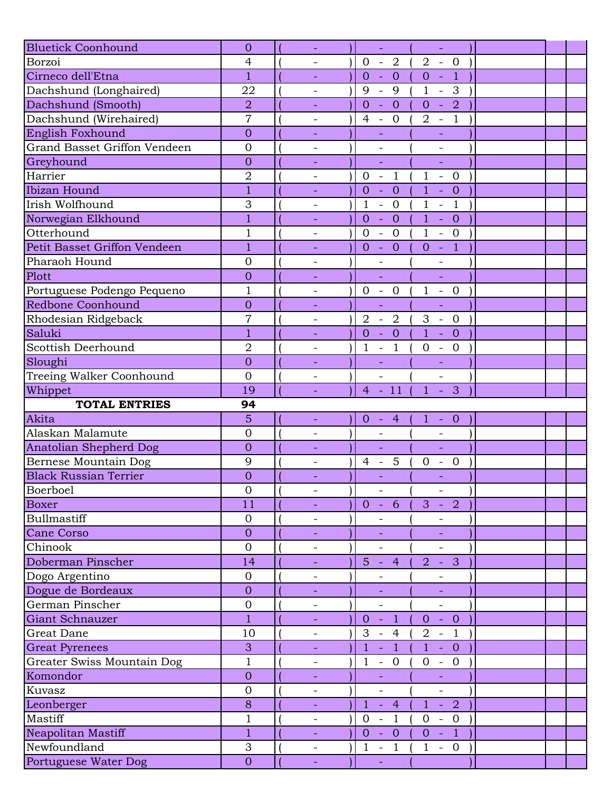| <b>Bluetick Coonhound</b>            | $\overline{0}$      |                          | $\omega$                                                        | $\omega$                                                   |  |
|--------------------------------------|---------------------|--------------------------|-----------------------------------------------------------------|------------------------------------------------------------|--|
| Borzoi                               | $\overline{4}$      |                          | $\overline{0}$<br>$-2$                                          | $\overline{2}$<br>$- 0$                                    |  |
| Cirneco dell'Etna                    | $\mathbf{1}$        | $\overline{\phantom{a}}$ | $\overline{0}$<br>$\overline{0}$<br>$\blacksquare$              | $\theta$<br>Q<br>$\mathbb{Z}$                              |  |
| Dachshund (Longhaired)               | 22                  | $\overline{\phantom{a}}$ | 9<br>9<br>$\mathbb{L}$                                          | $\mathbf{1}$<br>3<br>$\equiv$                              |  |
| Dachshund (Smooth)                   | $\overline{2}$      |                          | $\overline{0}$<br>$\overline{0}$<br>$\Box$                      | $\overline{2}$<br>$\overline{0}$<br>$\sim$                 |  |
| Dachshund (Wirehaired)               | $\overline{7}$      |                          | $\overline{0}$<br>$\overline{4}$<br>$\overline{\phantom{a}}$    | $-1$<br>$\overline{2}$                                     |  |
| English Foxhound                     | $\overline{0}$      |                          |                                                                 |                                                            |  |
| <b>Grand Basset Griffon Vendeen</b>  | $\overline{0}$      | $\overline{\phantom{a}}$ | $\overline{\phantom{0}}$                                        | $\overline{\phantom{a}}$                                   |  |
| Greyhound                            | $\overline{0}$      |                          | ÷,                                                              | L,                                                         |  |
| Harrier                              | $\overline{2}$      |                          | $\mathbf{1}$<br>$\mathbf{0}$<br>$\bar{\mathcal{A}}$             | $1 - 0$                                                    |  |
| Ibizan Hound                         | $\mathbf{1}$        | $\equiv$                 | $\overline{0}$<br>$\overline{0}$<br>$\Box$                      | $\mathbf{1}$<br>$\overline{0}$<br>$\sim$ .                 |  |
| Irish Wolfhound                      | 3                   | $\overline{\phantom{a}}$ | $\mathbf{1}$<br>$\overline{0}$<br>$\overline{\phantom{a}}$      | $\mathbf{1}$<br>$\overline{1}$<br>$\equiv$                 |  |
| Norwegian Elkhound                   | $\mathbf{1}$        |                          | $\overline{0}$<br>$\overline{0}$<br>$\Box$                      | 1 <sup>1</sup><br>$\overline{0}$<br>$\sim$                 |  |
| Otterhound                           | $\mathbf 1$         |                          | $\overline{0}$<br>$\overline{0}$<br>$\overline{\phantom{a}}$    | $\mathbf{1}$<br>$\mathbf{0}$<br>$\mathbb{Z}$               |  |
| Petit Basset Griffon Vendeen         | $\mathbf{1}$        |                          | $- 0$<br>$\overline{0}$                                         | $-1$<br>$\overline{0}$                                     |  |
| Pharaoh Hound                        | $\overline{0}$      | $\overline{\phantom{a}}$ | $\qquad \qquad -$                                               | $\qquad \qquad -$                                          |  |
| Plott                                | $\overline{0}$      |                          |                                                                 | L,                                                         |  |
| Portuguese Podengo Pequeno           | $\mathbf{1}$        | $\overline{\phantom{0}}$ | $\mathbf{0}$<br>$\mathbb{Z}^2$<br>$\overline{0}$                | $\mathbf{1}$<br>$-0$                                       |  |
| <b>Redbone Coonhound</b>             | $\overline{0}$      |                          | $\equiv$                                                        | L,                                                         |  |
| Rhodesian Ridgeback                  | $\overline{7}$      | $\overline{\phantom{a}}$ | $\overline{2}$<br>$\overline{2}$<br>$\mathcal{L}_{\mathcal{A}}$ | 3<br>$-0$                                                  |  |
| Saluki                               | 1                   |                          | $\overline{0}$<br>$\overline{0}$<br>$\equiv$                    | $\mathbf{1}$<br>$\overline{0}$<br>$\omega_{\rm{eff}}$      |  |
| Scottish Deerhound                   | $\overline{2}$      |                          | $\mathbf{1}$<br>$\mathbf{1}$<br>$\Box$                          | $\mathbf{0}$<br>$\mathbf{0}$<br>$\equiv$                   |  |
| Sloughi                              | $\overline{0}$      |                          | $\equiv$                                                        |                                                            |  |
| Treeing Walker Coonhound             | $\overline{0}$      | $\overline{\phantom{a}}$ | $\overline{a}$                                                  | $\overline{\phantom{a}}$                                   |  |
| Whippet                              | 19                  |                          | $-11$<br>$\overline{4}$                                         | 3<br>$\mathbf{1}$<br>$\sim$                                |  |
|                                      |                     |                          |                                                                 |                                                            |  |
|                                      |                     |                          |                                                                 |                                                            |  |
| <b>TOTAL ENTRIES</b>                 | 94                  |                          |                                                                 |                                                            |  |
| Akita                                | 5                   | $\overline{\phantom{a}}$ | $\overline{0}$<br>$-4$                                          | $\mathbf{1}$<br>$- 0$                                      |  |
| Alaskan Malamute                     | $\overline{0}$      | $\overline{\phantom{a}}$ |                                                                 |                                                            |  |
| <b>Anatolian Shepherd Dog</b>        | $\overline{0}$      | $\overline{\phantom{a}}$ | $\Box$                                                          | ÷,                                                         |  |
| Bernese Mountain Dog                 | 9                   | $\overline{\phantom{0}}$ | 5<br>$\overline{4}$<br>$\overline{a}$                           | $\mathbf{0}$<br>$\overline{0}$<br>$\overline{\phantom{a}}$ |  |
| <b>Black Russian Terrier</b>         | $\overline{0}$      |                          |                                                                 | ÷,                                                         |  |
| Boerboel                             | $\mathbf{0}$        | $\overline{\phantom{a}}$ | $\overline{\phantom{a}}$                                        | $\overline{\phantom{a}}$                                   |  |
| <b>Boxer</b>                         | 11                  |                          | $0 - 6$                                                         | 3<br>2<br>$\sim$ $\sim$                                    |  |
| Bullmastiff                          | $\mathbf{0}$        |                          |                                                                 |                                                            |  |
| Cane Corso                           | $\overline{0}$      |                          |                                                                 |                                                            |  |
| Chinook                              | $\overline{0}$      | $\overline{\phantom{a}}$ | $\overline{\phantom{a}}$                                        | $\qquad \qquad -$                                          |  |
| Doberman Pinscher                    | 14                  | $\equiv$                 | $5 - 4$                                                         | $\mathbf{3}$<br>$\overline{2}$<br>$\clubsuit$              |  |
| Dogo Argentino                       | $\overline{0}$      |                          |                                                                 |                                                            |  |
| Dogue de Bordeaux                    | $\overline{0}$      |                          |                                                                 |                                                            |  |
| German Pinscher                      | $\mathbf{0}$        | $\overline{\phantom{a}}$ | $\overline{\phantom{a}}$                                        | $\overline{\phantom{0}}$                                   |  |
| Giant Schnauzer                      | $\mathbf{1}$        |                          | $\overline{1}$<br>$\Omega$<br>$\sim$                            | $-0$<br>$\overline{0}$                                     |  |
| Great Dane                           | 10                  | $\overline{\phantom{a}}$ | 3<br>$\overline{4}$<br>$\overline{\phantom{a}}$                 | $\overline{2}$<br>$\overline{1}$<br>$\equiv$               |  |
| <b>Great Pyrenees</b>                | 3                   | $\equiv$                 | $\overline{1}$<br>$\mathbf{1}$<br>÷,                            | $\mathbf{1}$<br>$\overline{0}$<br>$\blacklozenge$          |  |
| Greater Swiss Mountain Dog           | $\mathbf{1}$        | $\qquad \qquad -$        | $\mathbf{1}$<br>$\overline{0}$<br>$\equiv$                      | $\mathbf{0}$<br>$-0$                                       |  |
| Komondor                             | $\overline{0}$      | $\equiv$                 | $\Box$                                                          | ÷,                                                         |  |
| Kuvasz                               | $\overline{0}$      | $\overline{\phantom{a}}$ | $\overline{\phantom{a}}$                                        | $\overline{\phantom{0}}$                                   |  |
| Leonberger                           | 8                   | $\overline{\phantom{a}}$ | $\mathbf{1}$<br>$-4$                                            | $-2$<br>$\mathbf{1}$                                       |  |
| Mastiff                              | $\mathbf 1$         | $\overline{\phantom{a}}$ | $\overline{0}$<br>$\mathbf{1}$<br>$\blacksquare$                | $\overline{0}$<br>$-0$                                     |  |
| Neapolitan Mastiff                   | $\mathbf{1}$        | $\equiv$                 | $\overline{0}$<br>$-0$                                          | $-1$<br>$\overline{0}$                                     |  |
| Newfoundland<br>Portuguese Water Dog | 3<br>$\overline{0}$ | $\overline{\phantom{a}}$ | $-1$<br>$\mathbf{1}$                                            | $\mathbf{1}$<br>$\overline{0}$<br>$\equiv$                 |  |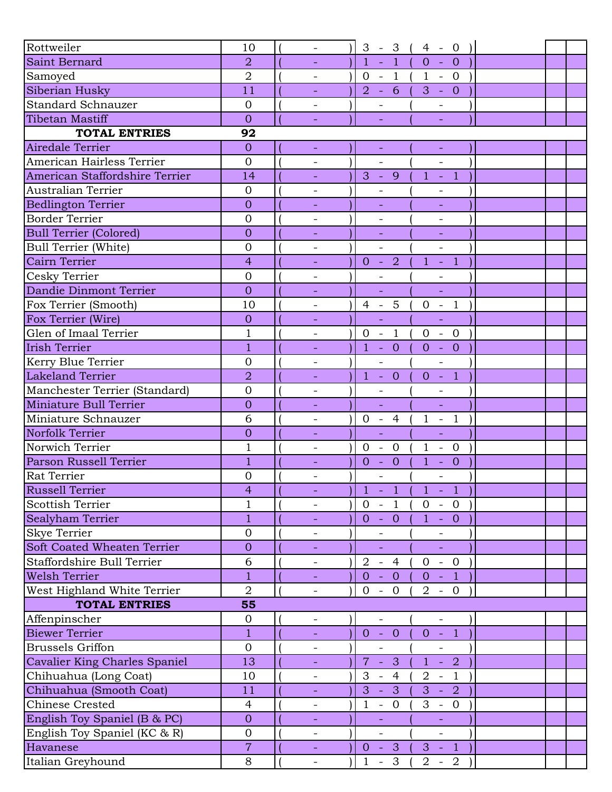| Rottweiler                     | 10             | $\overline{\phantom{a}}$ | $3 - 3$                                        | $4 - 0$                                    |  |  |
|--------------------------------|----------------|--------------------------|------------------------------------------------|--------------------------------------------|--|--|
| Saint Bernard                  | $\overline{2}$ |                          | $1 -$<br>$\overline{1}$                        | $\overline{0}$<br>$\overline{0}$           |  |  |
| Samoyed                        | $\overline{2}$ |                          | $0 - 1$                                        | $(1 - 0)$                                  |  |  |
| Siberian Husky                 | 11             |                          | $-61$<br>2                                     | $3 - 0$                                    |  |  |
| <b>Standard Schnauzer</b>      | $\overline{0}$ | $\overline{\phantom{a}}$ | $\overline{\phantom{a}}$                       |                                            |  |  |
| <b>Tibetan Mastiff</b>         | $\overline{0}$ |                          |                                                |                                            |  |  |
| <b>TOTAL ENTRIES</b>           | 92             |                          |                                                |                                            |  |  |
| Airedale Terrier               | $\overline{0}$ | $\equiv$                 | $\equiv$                                       | $\rightarrow$                              |  |  |
| American Hairless Terrier      | $\overline{0}$ |                          | $\overline{a}$                                 | $\overline{a}$                             |  |  |
| American Staffordshire Terrier | 14             | ÷,                       | $3 - 9$                                        | $1 - 1$                                    |  |  |
| Australian Terrier             | $\overline{0}$ |                          |                                                |                                            |  |  |
| <b>Bedlington Terrier</b>      | $\overline{0}$ |                          |                                                |                                            |  |  |
| <b>Border Terrier</b>          | $\overline{0}$ | $\overline{\phantom{a}}$ | $\overline{\phantom{0}}$                       | $\overline{\phantom{a}}$                   |  |  |
| <b>Bull Terrier (Colored)</b>  | $\overline{0}$ |                          |                                                |                                            |  |  |
| <b>Bull Terrier (White)</b>    | $\overline{0}$ |                          |                                                | $\qquad \qquad -$                          |  |  |
| Cairn Terrier                  | $\overline{4}$ |                          | $0 - 2$                                        | $\mathbf{1}$<br>$-1$                       |  |  |
| Cesky Terrier                  | $\overline{0}$ | $\overline{\phantom{a}}$ |                                                |                                            |  |  |
| Dandie Dinmont Terrier         | $\overline{0}$ | $\blacksquare$           | ÷,                                             | $\Box$                                     |  |  |
| Fox Terrier (Smooth)           | 10             | $\qquad \qquad -$        | $\overline{5}$<br>$4 -$                        | $-1$<br>$\mathbf{0}$                       |  |  |
| Fox Terrier (Wire)             | $\overline{0}$ |                          | ÷.                                             |                                            |  |  |
| Glen of Imaal Terrier          | $\mathbf 1$    | $\overline{\phantom{a}}$ | $0 - 1$                                        | $0 - 0$                                    |  |  |
| <b>Irish Terrier</b>           | $\mathbf{1}$   |                          | $1 - 0$                                        | $\overline{0}$<br>$-0$                     |  |  |
| Kerry Blue Terrier             | $\overline{0}$ | $\qquad \qquad -$        |                                                | $\overline{\phantom{a}}$                   |  |  |
| <b>Lakeland Terrier</b>        | $\overline{2}$ |                          | $1 -$<br>$\overline{0}$                        | $-1$<br>$\overline{0}$                     |  |  |
| Manchester Terrier (Standard)  | $\overline{0}$ | $\overline{\phantom{a}}$ |                                                |                                            |  |  |
| Miniature Bull Terrier         | $\overline{0}$ |                          | $\equiv$                                       | $\equiv$                                   |  |  |
| Miniature Schnauzer            | 6              |                          | $0 - 4$                                        | $1 - 1$                                    |  |  |
| Norfolk Terrier                | $\overline{0}$ |                          | L.                                             |                                            |  |  |
| Norwich Terrier                | $\mathbf 1$    | $\overline{\phantom{a}}$ | $\overline{0}$<br>$\overline{0}$<br>$\sim$ $-$ | $\mathbf{1}$<br>$-0$                       |  |  |
| Parson Russell Terrier         | $\overline{1}$ |                          | $\overline{0}$<br>$-0$                         | $\mathbf{1}$<br>$\overline{0}$<br>$\sim$ . |  |  |
| <b>Rat Terrier</b>             | $\overline{0}$ |                          | $\overline{\phantom{0}}$                       | $\overline{\phantom{a}}$                   |  |  |
| Russell Terrier                | $\overline{4}$ |                          | $1 - 1$                                        | $1 - 1$                                    |  |  |
| <b>Scottish Terrier</b>        | $\mathbf{1}$   |                          | $0 - 1$                                        | $0 - 0$                                    |  |  |
| Sealyham Terrier               | $\mathbf{1}$   | $\sim$                   | $0 - 0$                                        | $1 - 0$                                    |  |  |
| Skye Terrier                   | $\mathbf{0}$   |                          |                                                |                                            |  |  |
| Soft Coated Wheaten Terrier    | $\overline{0}$ |                          |                                                | $\Box$                                     |  |  |
| Staffordshire Bull Terrier     | 6              | $\overline{\phantom{a}}$ | $2 - 4$                                        | $\overline{0}$<br>$-0$                     |  |  |
| <b>Welsh Terrier</b>           | $\overline{1}$ | $\equiv$                 | $0 - 0$                                        | $0 - 1$                                    |  |  |
| West Highland White Terrier    | $\overline{2}$ | $\overline{\phantom{a}}$ | $0 -$<br>$\overline{0}$                        | $2 - 0$                                    |  |  |
| <b>TOTAL ENTRIES</b>           | 55             |                          |                                                |                                            |  |  |
| Affenpinscher                  | $\mathbf{0}$   | $\overline{\phantom{a}}$ | $\overline{\phantom{0}}$                       | $\overline{\phantom{a}}$                   |  |  |
| <b>Biewer Terrier</b>          | $\mathbf{1}$   | $\sim$                   | $0 - 0$                                        | $0 - 1$                                    |  |  |
| <b>Brussels Griffon</b>        | $\mathbf{O}$   | $\overline{\phantom{a}}$ | $\overline{\phantom{a}}$                       | $\overline{\phantom{0}}$                   |  |  |
| Cavalier King Charles Spaniel  | 13             |                          | $7 -$<br>3 <sup>2</sup>                        | $1 - 2$                                    |  |  |
| Chihuahua (Long Coat)          | 10             |                          | $3 - 4$                                        | $\overline{2}$<br>$-1$                     |  |  |
| Chihuahua (Smooth Coat)        | 11             | $\equiv$                 | $3 - 3$                                        | $3 - 2$                                    |  |  |
| <b>Chinese Crested</b>         | $\overline{4}$ | $\overline{\phantom{a}}$ | $\mathbf{1}$<br>$\overline{0}$<br>$\equiv$     | 3<br>$\overline{0}$<br>$\sim$ $-$          |  |  |
| English Toy Spaniel (B & PC)   | $\overline{0}$ | $\overline{\phantom{a}}$ |                                                |                                            |  |  |
| English Toy Spaniel (KC & R)   | $\mathbf 0$    | $\overline{\phantom{a}}$ | $\overline{\phantom{a}}$                       | $\overline{\phantom{a}}$                   |  |  |
| Havanese                       | $\overline{7}$ | $\omega_{\rm{eff}}$      | $0 - 3$                                        | $3 - 1$                                    |  |  |
| Italian Greyhound              | 8              | $\overline{\phantom{a}}$ | $\mathbf{1}$<br>$-3$                           | $2 - 2$                                    |  |  |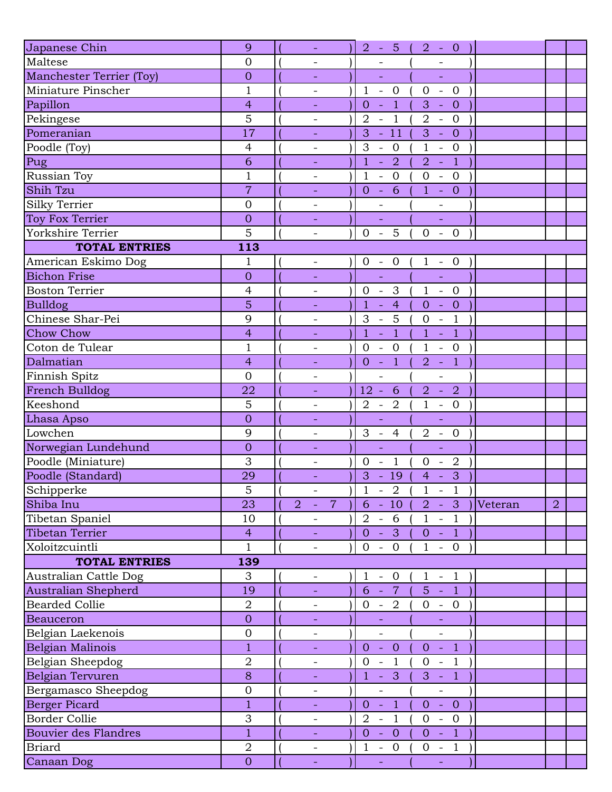| Japanese Chin               | 9              | $\equiv$                         | $2 - 5 ($                                                     | $2 - 0$                                                     |         |                |  |
|-----------------------------|----------------|----------------------------------|---------------------------------------------------------------|-------------------------------------------------------------|---------|----------------|--|
| Maltese                     | $\overline{0}$ | $\overline{\phantom{a}}$         |                                                               |                                                             |         |                |  |
| Manchester Terrier (Toy)    | $\overline{0}$ | $\overline{\phantom{a}}$         | $\blacksquare$                                                | ÷,                                                          |         |                |  |
| Miniature Pinscher          | $\mathbf{1}$   | $\overline{\phantom{a}}$         | $\mathbf{1}$<br>$\overline{0}$<br>$\mathcal{L}_{\mathcal{A}}$ | $\mathbf{0}$<br>$\mathbb{L}^{\mathbb{N}}$<br>$\overline{0}$ |         |                |  |
| Papillon                    | $\overline{4}$ |                                  | $\overline{1}$<br>$\overline{O}$<br>$\Box$                    | 3<br>$-0$                                                   |         |                |  |
| Pekingese                   | 5              | $\overline{\phantom{a}}$         | $\overline{1}$<br>$\overline{2}$<br>$\sim$                    | $\overline{2}$<br>$-0$                                      |         |                |  |
| Pomeranian                  | 17             |                                  | $-11$<br>3                                                    | 3<br>$- 0$                                                  |         |                |  |
| Poodle (Toy)                | $\overline{4}$ | $\overline{\phantom{a}}$         | 3<br>$\overline{0}$<br>$\overline{\phantom{a}}$               | $\mathbf{1}$<br>$-$ 0                                       |         |                |  |
| Pug                         | 6              | ÷,                               | $\overline{2}$<br>$\mathbf{1}$<br>$\Box$                      | $\overline{a}$<br>$-1$                                      |         |                |  |
| Russian Toy                 | $\mathbf{1}$   | $\overline{\phantom{a}}$         | $\mathbf{1}$<br>$\overline{0}$<br>$\mathbb{L}$                | $\overline{0}$<br>$-0$                                      |         |                |  |
| Shih Tzu                    | $\overline{7}$ | $\equiv$                         | $-6$<br>$\overline{0}$                                        | $1 - 0$                                                     |         |                |  |
| Silky Terrier               | $\overline{0}$ |                                  |                                                               |                                                             |         |                |  |
| Toy Fox Terrier             | $\overline{0}$ |                                  |                                                               | $\Box$                                                      |         |                |  |
| Yorkshire Terrier           | 5              | $-$                              | 5<br>$0 -$                                                    | $\overline{0}$<br>$- 0$                                     |         |                |  |
| <b>TOTAL ENTRIES</b>        | 113            |                                  |                                                               |                                                             |         |                |  |
| American Eskimo Dog         | 1              | $\overline{\phantom{a}}$         | $0 - 0$                                                       | $1 - 0$                                                     |         |                |  |
| <b>Bichon Frise</b>         | $\overline{0}$ |                                  | $\mathbb{L}$                                                  | L,                                                          |         |                |  |
| <b>Boston Terrier</b>       | $\overline{4}$ | $\overline{\phantom{a}}$         | $0 - 3$                                                       | $1 - 0$                                                     |         |                |  |
| <b>Bulldog</b>              | 5              | ♦                                | $\overline{4}$<br>$\mathbf{1}$<br>$\mathbb{Z}^2$              | $-0$<br>$\mathbf{O}$                                        |         |                |  |
| Chinese Shar-Pei            | 9              | $\overline{\phantom{a}}$         | 5<br>3<br>$\mathcal{L}_{\mathcal{A}}$                         | $\mathbf{0}$<br>$\overline{1}$<br>$\mathbb{L}$              |         |                |  |
| <b>Chow Chow</b>            | $\overline{4}$ |                                  | $\overline{1}$<br>$\mathbf{1}$<br>$\Box$                      | $\mathbf{1}$<br>$\overline{1}$<br>$\sim$ $-$                |         |                |  |
| Coton de Tulear             | $\mathbf{1}$   | $\overline{\phantom{a}}$         | $\mathbf{0}$<br>$\overline{0}$<br>$\sim$                      | $\mathbf{1}$<br>$-0$                                        |         |                |  |
| Dalmatian                   | $\overline{4}$ | $\equiv$                         | $-1$<br>$\overline{O}$                                        | $-1$<br>$\overline{a}$                                      |         |                |  |
| Finnish Spitz               | $\overline{0}$ | $\overline{\phantom{a}}$         | $\overline{\phantom{a}}$                                      | $\overline{\phantom{0}}$                                    |         |                |  |
| French Bulldog              | 22             | $\equiv$                         | 6<br>$12 -$                                                   | 2<br>$\overline{2}$<br>$\sim$                               |         |                |  |
| Keeshond                    | 5              | $\overline{\phantom{a}}$         | $\overline{2}$<br>$2 -$                                       | $\mathbf{1}$<br>$- 0$                                       |         |                |  |
| Lhasa Apso                  | $\overline{0}$ | $\equiv$                         | $\Box$                                                        | $\equiv$                                                    |         |                |  |
| Lowchen                     | 9              | $\overline{\phantom{a}}$         | $3 - 4$                                                       | $\overline{2}$<br>$-0$                                      |         |                |  |
| Norwegian Lundehund         | $\overline{0}$ | $\equiv$                         | $\Box$                                                        | ÷,                                                          |         |                |  |
| Poodle (Miniature)          | 3              | $\overline{\phantom{a}}$         | $\overline{1}$<br>$\overline{0}$<br>$\sim$                    | $\overline{2}$<br>$\mathbf{0}$<br>$\overline{\phantom{a}}$  |         |                |  |
| Poodle (Standard)           | 29             | $\equiv$                         | $3 - 19$                                                      | $\overline{\phantom{a}}$ 3<br>$4 -$                         |         |                |  |
| Schipperke                  | 5              | $\blacksquare$                   | $\mathbf{1}$<br>$-2$                                          | $\mathbf{1}$<br>$-1$                                        |         |                |  |
| Shiba Inu                   | 23             | $\overline{7}$<br>$\overline{2}$ | $6 - 10$                                                      | $2 - 3$                                                     | Veteran | $\overline{2}$ |  |
| Tibetan Spaniel             | 10             |                                  | $-6$<br>$\overline{2}$                                        | $1 - 1$                                                     |         |                |  |
| Tibetan Terrier             | $\overline{4}$ | $\equiv$                         | 3<br>$0 -$                                                    | $0 - 1$                                                     |         |                |  |
| Xoloitzcuintli              | $\mathbf{1}$   | $\overline{\phantom{a}}$         | $0 - 0$                                                       | $1 - 0$                                                     |         |                |  |
| <b>TOTAL ENTRIES</b>        | 139            |                                  |                                                               |                                                             |         |                |  |
| Australian Cattle Dog       | 3              | $\overline{\phantom{a}}$         | $1 - 0$                                                       | $\mathbf{1}$<br>$-1$                                        |         |                |  |
| Australian Shepherd         | 19             | $\equiv$                         | $6 -$<br>$7\overline{ }$                                      | $5 - 1$                                                     |         |                |  |
| <b>Bearded Collie</b>       | $\overline{2}$ | $\overline{\phantom{a}}$         | $0 -$<br>$\overline{2}$                                       | $0 - 0$                                                     |         |                |  |
| <b>Beauceron</b>            | $\overline{0}$ |                                  |                                                               |                                                             |         |                |  |
| Belgian Laekenois           | $\mathbf 0$    | $\overline{\phantom{a}}$         | $\qquad \qquad -$                                             | $\frac{1}{2}$                                               |         |                |  |
| Belgian Malinois            | $\mathbf{1}$   | ÷,                               | $\overline{0}$<br>$\sim$<br>$\overline{0}$                    | $\overline{0}$<br>$-1$                                      |         |                |  |
| Belgian Sheepdog            | $\overline{2}$ | $\overline{\phantom{a}}$         | $\overline{0}$<br>$-1$                                        | $0 - 1$                                                     |         |                |  |
| Belgian Tervuren            | 8              | $\equiv$                         | $-3$<br>$\mathbf{1}$                                          | $3 - 1$                                                     |         |                |  |
| Bergamasco Sheepdog         | $\mathbf 0$    | $\qquad \qquad -$                | $\qquad \qquad -$                                             | $\overline{\phantom{0}}$                                    |         |                |  |
| <b>Berger Picard</b>        | $\mathbf{1}$   |                                  | $\overline{1}$<br>$0 -$                                       | $0 - 0$                                                     |         |                |  |
| <b>Border Collie</b>        | 3              | $\overline{\phantom{a}}$         | $\overline{2}$<br>$\overline{1}$<br>$\overline{\phantom{a}}$  | $\overline{0}$<br>$- 0$                                     |         |                |  |
| <b>Bouvier des Flandres</b> | $\overline{1}$ |                                  | $\overline{0}$<br>$\overline{0}$<br>$\sim$                    | $0 -$<br>$\overline{1}$                                     |         |                |  |
| <b>Briard</b>               | $\overline{2}$ | $\overline{\phantom{a}}$         | $\mathbf{1}$<br>$-0$                                          | $\overline{0}$<br>$-1$                                      |         |                |  |
| Canaan Dog                  | $\overline{O}$ |                                  |                                                               | u,                                                          |         |                |  |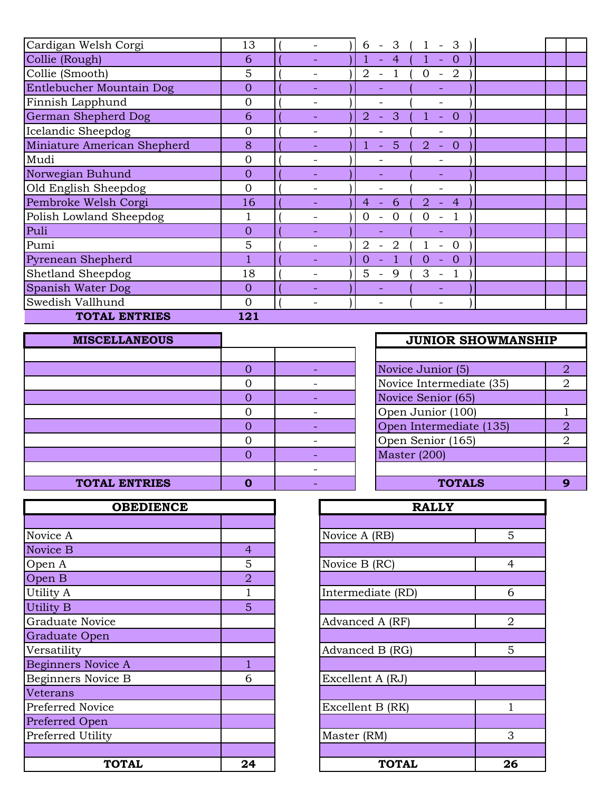| Cardigan Welsh Corgi        | 13             | 3<br>3<br>6<br>$\overline{\phantom{0}}$<br>$\overline{\phantom{a}}$                                        |  |
|-----------------------------|----------------|------------------------------------------------------------------------------------------------------------|--|
| Collie (Rough)              | 6              | $\overline{0}$<br>$\overline{4}$<br>$\equiv$                                                               |  |
| Collie (Smooth)             | 5              | $\overline{2}$<br>$\overline{2}$<br>$\overline{0}$<br>$\overline{\phantom{a}}$<br>$\overline{\phantom{a}}$ |  |
| Entlebucher Mountain Dog    | $\overline{0}$ |                                                                                                            |  |
| Finnish Lapphund            | $\Omega$       |                                                                                                            |  |
| German Shepherd Dog         | 6              | 3<br>$\overline{2}$<br>$\theta$<br>$\equiv$<br>$\overline{\phantom{a}}$                                    |  |
| Icelandic Sheepdog          | 0              |                                                                                                            |  |
| Miniature American Shepherd | 8              | 5<br>$\overline{2}$<br>$\overline{0}$<br>$\equiv$<br>$\equiv$                                              |  |
| Mudi                        | $\overline{0}$ |                                                                                                            |  |
| Norwegian Buhund            | $\overline{0}$ |                                                                                                            |  |
| Old English Sheepdog        | $\mathbf{0}$   |                                                                                                            |  |
| Pembroke Welsh Corgi        | 16             | 6<br>2.<br>4<br>4                                                                                          |  |
| Polish Lowland Sheepdog     |                | 0<br>$\Omega$                                                                                              |  |
| Puli                        | $\overline{0}$ |                                                                                                            |  |
| Pumi                        | 5              | 2<br>2<br>$\Omega$                                                                                         |  |
| Pyrenean Shepherd           |                | 0<br>$\theta$<br>0<br>$\blacksquare$                                                                       |  |
| Shetland Sheepdog           | 18             | 5<br>3<br>9<br>$\overline{\phantom{a}}$<br>$\overline{\phantom{a}}$                                        |  |
| Spanish Water Dog           | $\mathbf{0}$   |                                                                                                            |  |
| Swedish Vallhund            | $\overline{0}$ | $\overline{\phantom{0}}$                                                                                   |  |
| <b>TOTAL ENTRIES</b>        | 121            |                                                                                                            |  |

| <b>MISCELLANEOUS</b> |  | <b>JUNIOR SHOWMANSHIP</b> |
|----------------------|--|---------------------------|
|                      |  |                           |
|                      |  | Novice Junior (5)         |
|                      |  | Novice Intermediate (35)  |
|                      |  | Novice Senior (65)        |
|                      |  | Open Junior (100)         |
|                      |  | Open Intermediate (135)   |
|                      |  | Open Senior (165)         |
|                      |  | Master $(200)$            |
|                      |  |                           |
| <b>TOTAL ENTRIES</b> |  | <b>TOTALS</b>             |

| <b>OBEDIENCE</b>          |                | <b>RALLY</b>      |                |
|---------------------------|----------------|-------------------|----------------|
|                           |                |                   |                |
| Novice A                  |                | Novice A (RB)     | 5              |
| Novice B                  | $\overline{4}$ |                   |                |
| Open A                    | 5              | Novice B (RC)     | $\overline{4}$ |
| Open B                    | $\overline{2}$ |                   |                |
| Utility A                 |                | Intermediate (RD) | 6              |
| Utility B                 | 5              |                   |                |
| <b>Graduate Novice</b>    |                | Advanced A (RF)   | $\overline{2}$ |
| <b>Graduate Open</b>      |                |                   |                |
| Versatility               |                | Advanced B (RG)   | 5              |
| <b>Beginners Novice A</b> | 1              |                   |                |
| Beginners Novice B        | 6              | Excellent A (RJ)  |                |
| Veterans                  |                |                   |                |
| Preferred Novice          |                | Excellent B (RK)  |                |
| Preferred Open            |                |                   |                |
| Preferred Utility         |                | Master (RM)       | 3              |
| <b>TOTAL</b>              | 24             | <b>TOTAL</b>      | 2 <sub>0</sub> |

|                | <b>JUNIOR SHOWMANSHIP</b> |                             |
|----------------|---------------------------|-----------------------------|
|                |                           |                             |
| 0              | Novice Junior (5)         | 2                           |
| 0              | Novice Intermediate (35)  |                             |
| $\overline{0}$ | Novice Senior (65)        |                             |
| 0              | Open Junior (100)         |                             |
| $\overline{0}$ | Open Intermediate (135)   | 2                           |
| 0              | Open Senior (165)         | $\mathcal{D}_{\mathcal{L}}$ |
| $\overline{0}$ | <b>Master (200)</b>       |                             |
|                |                           |                             |
|                | <b>TOTALS</b>             |                             |

| <b>OBEDIENCE</b> |                | <b>RALLY</b>      |                |
|------------------|----------------|-------------------|----------------|
|                  |                |                   |                |
|                  |                | Novice A (RB)     | 5 <sup>5</sup> |
|                  | $\overline{4}$ |                   |                |
|                  | 5              | Novice B (RC)     | $\overline{4}$ |
|                  | $\overline{2}$ |                   |                |
|                  | 1              | Intermediate (RD) | 6              |
|                  | 5              |                   |                |
| .ce              |                | Advanced A (RF)   | $\overline{2}$ |
| n                |                |                   |                |
|                  |                | Advanced B (RG)   | 5              |
| ice A            | 1              |                   |                |
| ice B            | 6              | Excellent A (RJ)  |                |
|                  |                |                   |                |
| ce               |                | Excellent B (RK)  | 1              |
| $\overline{1}$   |                |                   |                |
| ty               |                | Master (RM)       | 3              |
|                  |                |                   |                |
| <b>TOTAL</b>     | 24             | <b>TOTAL</b>      | 26             |
|                  |                |                   |                |